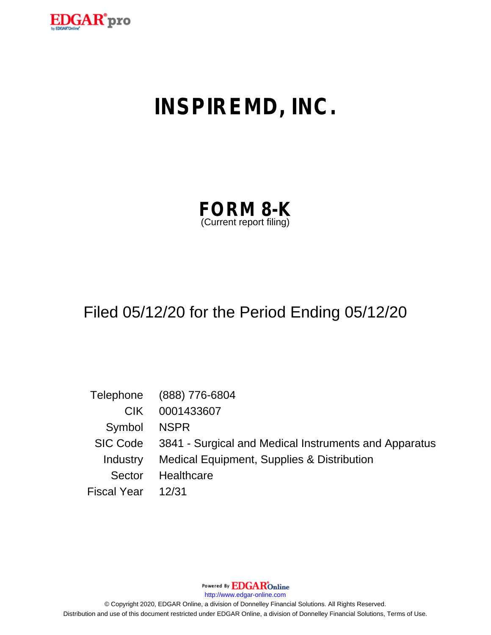

# **INSPIREMD, INC.**

| <b>FORM 8-K</b>         |  |
|-------------------------|--|
| (Current report filing) |  |

## Filed 05/12/20 for the Period Ending 05/12/20

|                    | Telephone (888) 776-6804                                       |
|--------------------|----------------------------------------------------------------|
| CIK.               | 0001433607                                                     |
| Symbol NSPR        |                                                                |
|                    | SIC Code 3841 - Surgical and Medical Instruments and Apparatus |
| Industry           | Medical Equipment, Supplies & Distribution                     |
| Sector             | Healthcare                                                     |
| Fiscal Year  12/31 |                                                                |

Powered By **EDGAR**Online

http://www.edgar-online.com

© Copyright 2020, EDGAR Online, a division of Donnelley Financial Solutions. All Rights Reserved. Distribution and use of this document restricted under EDGAR Online, a division of Donnelley Financial Solutions, Terms of Use.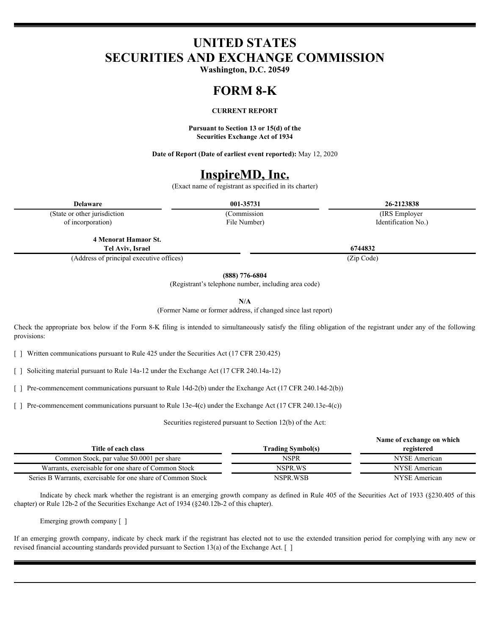## **UNITED STATES SECURITIES AND EXCHANGE COMMISSION**

**Washington, D.C. 20549**

## **FORM 8-K**

#### **CURRENT REPORT**

**Pursuant to Section 13 or 15(d) of the Securities Exchange Act of 1934**

**Date of Report (Date of earliest event reported):** May 12, 2020

### **InspireMD, Inc.**

(Exact name of registrant as specified in its charter)

(State or other jurisdiction of incorporation)

(Commission File Number)

**Delaware 001-35731 26-2123838** (IRS Employer Identification No.)

**4 Menorat Hamaor St. Tel Aviv, Israel 6744832**

(Address of principal executive offices) (Zip Code)

**(888) 776-6804**

(Registrant's telephone number, including area code)

**N/A**

(Former Name or former address, if changed since last report)

Check the appropriate box below if the Form 8-K filing is intended to simultaneously satisfy the filing obligation of the registrant under any of the following provisions:

[ ] Written communications pursuant to Rule 425 under the Securities Act (17 CFR 230.425)

[ ] Soliciting material pursuant to Rule 14a-12 under the Exchange Act (17 CFR 240.14a-12)

[ ] Pre-commencement communications pursuant to Rule 14d-2(b) under the Exchange Act (17 CFR 240.14d-2(b))

[ ] Pre-commencement communications pursuant to Rule 13e-4(c) under the Exchange Act (17 CFR 240.13e-4(c))

Securities registered pursuant to Section 12(b) of the Act:

|                                                              |                   | Name of exchange on which |
|--------------------------------------------------------------|-------------------|---------------------------|
| Title of each class                                          | Trading Symbol(s) | registered                |
| Common Stock, par value \$0,0001 per share                   | NSPR              | NYSE American             |
| Warrants, exercisable for one share of Common Stock          | NSPR.WS           | NYSE American             |
| Series B Warrants, exercisable for one share of Common Stock | NSPR.WSB          | NYSE American             |

Indicate by check mark whether the registrant is an emerging growth company as defined in Rule 405 of the Securities Act of 1933 (§230.405 of this chapter) or Rule 12b-2 of the Securities Exchange Act of 1934 (§240.12b-2 of this chapter).

Emerging growth company [ ]

If an emerging growth company, indicate by check mark if the registrant has elected not to use the extended transition period for complying with any new or revised financial accounting standards provided pursuant to Section 13(a) of the Exchange Act. [ ]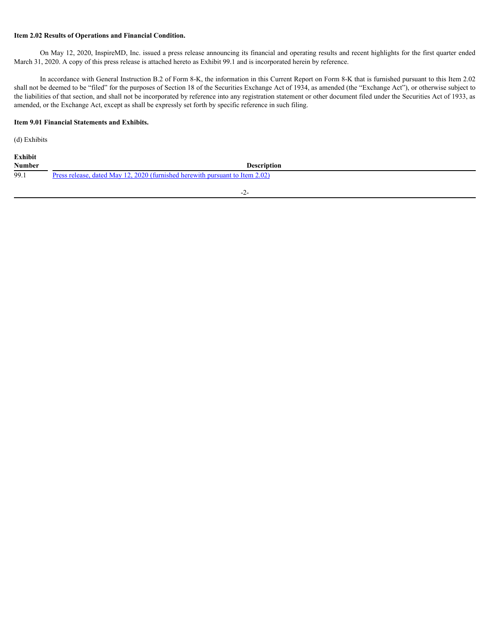#### **Item 2.02 Results of Operations and Financial Condition.**

On May 12, 2020, InspireMD, Inc. issued a press release announcing its financial and operating results and recent highlights for the first quarter ended March 31, 2020. A copy of this press release is attached hereto as Exhibit 99.1 and is incorporated herein by reference.

In accordance with General Instruction B.2 of Form 8-K, the information in this Current Report on Form 8-K that is furnished pursuant to this Item 2.02 shall not be deemed to be "filed" for the purposes of Section 18 of the Securities Exchange Act of 1934, as amended (the "Exchange Act"), or otherwise subject to the liabilities of that section, and shall not be incorporated by reference into any registration statement or other document filed under the Securities Act of 1933, as amended, or the Exchange Act, except as shall be expressly set forth by specific reference in such filing.

#### **Item 9.01 Financial Statements and Exhibits.**

(d) Exhibits

| <b>Exhibit</b> |                                                                              |
|----------------|------------------------------------------------------------------------------|
| <b>Number</b>  | <b>Description</b>                                                           |
| 99.1           | Press release, dated May 12, 2020 (furnished herewith pursuant to Item 2.02) |

-2-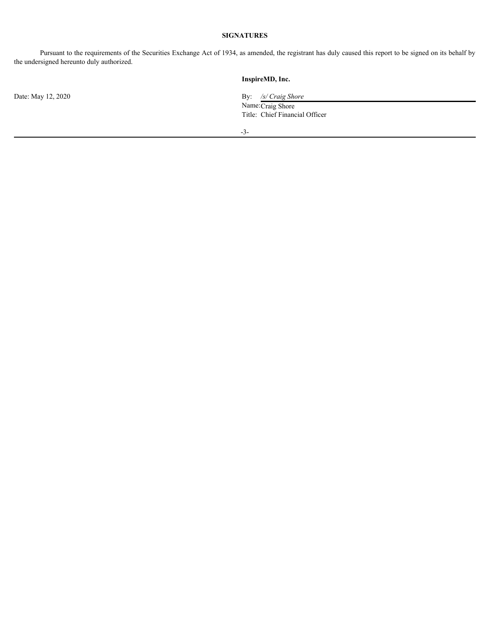#### **SIGNATURES**

Pursuant to the requirements of the Securities Exchange Act of 1934, as amended, the registrant has duly caused this report to be signed on its behalf by the undersigned hereunto duly authorized.

#### **InspireMD, Inc.**

Date: May 12, 2020 **By:** */s/ Craig Shore* By: */s/ Craig Shore* Name: Craig Shore Title: Chief Financial Officer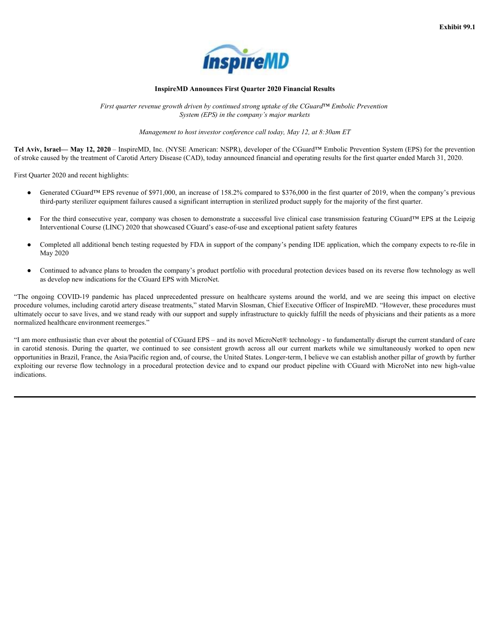

#### **InspireMD Announces First Quarter 2020 Financial Results**

*First quarter revenue growth driven by continued strong uptake of the CGuard*™ *Embolic Prevention System (EPS) in the company's major markets*

*Management to host investor conference call today, May 12, at 8:30am ET*

Tel Aviv, Israel— May 12, 2020 – InspireMD, Inc. (NYSE American: NSPR), developer of the CGuard™ Embolic Prevention System (EPS) for the prevention of stroke caused by the treatment of Carotid Artery Disease (CAD), today announced financial and operating results for the first quarter ended March 31, 2020.

First Quarter 2020 and recent highlights:

- Generated CGuard™ EPS revenue of \$971,000, an increase of 158.2% compared to \$376,000 in the first quarter of 2019, when the company's previous third-party sterilizer equipment failures caused a significant interruption in sterilized product supply for the majority of the first quarter.
- For the third consecutive year, company was chosen to demonstrate a successful live clinical case transmission featuring CGuard™ EPS at the Leipzig Interventional Course (LINC) 2020 that showcased CGuard's ease-of-use and exceptional patient safety features
- Completed all additional bench testing requested by FDA in support of the company's pending IDE application, which the company expects to re-file in May 2020
- Continued to advance plans to broaden the company's product portfolio with procedural protection devices based on its reverse flow technology as well as develop new indications for the CGuard EPS with MicroNet.

<span id="page-5-0"></span>**THE ONE COVID-19 particles** on the operator of the operator of the operator of the operator in the system of the operator of the operator of the operator of the operator of the operator of the operator of the operator of procedure volumes, including carotid artery disease treatments," stated Marvin Slosman, Chief Executive Officer of InspireMD. "However, these procedures must ultimately occur to save lives, and we stand ready with our support and supply infrastructure to quickly fulfill the needs of physicians and their patients as a more normalized healthcare environment reemerges."

"I am more enthusiastic than ever about the potential of CGuard EPS – and its novel MicroNet® technology - to fundamentally disrupt the current standard of care **in spireMD Annunnees First Quarter 2020 Financial Revalue<br>
First quarter reveals good forced by the reduced store (continued stress produced store) sphot of**  $\phi$ **C Consid<sup>4</sup> Endolco Preservison<br>
11 Aviv, Lend — May 12, 20** opportunities in Brazil, France, the Asia/Pacific region and, of course, the United States. Longer-term, I believe we can establish another pillar of growth by further exploiting our reverse flow technology in a procedural protection device and to expand our product pipeline with CGuard with MicroNet into new high-value indications.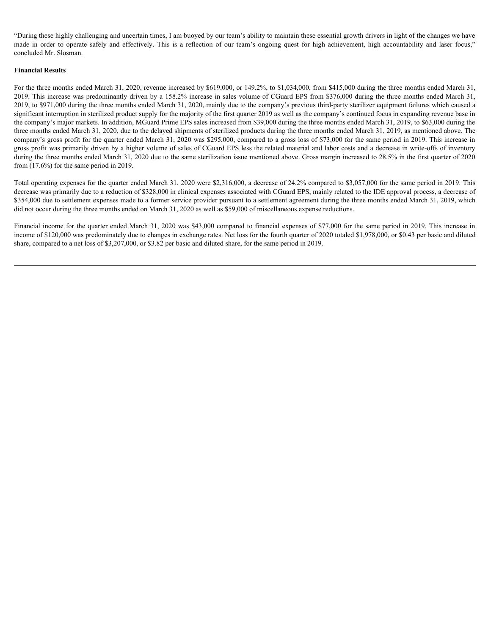"During these highly challenging and uncertain times, I am buoyed by our team's ability to maintain these essential growth drivers in light of the changes we have concluded Mr. Slosman.

#### **Financial Results**

"During these highly challenging and uncertain times, I am buoyed by our team's ability to maintain these essential growth drivers in light of the changes we have made in order to operate safely and effectively. This is a For the three months ended March 31, 2020, revenue increased by \$619,000, or 149.2%, to \$1,034,000, from \$415,000 during the three months ended March 31, 2019. This increase was predominantly driven by a 158.2% increase in sales volume of CGuard EPS from \$376,000 during the three months ended March 31, 2019, to \$971,000 during the three months ended March 31, 2020, mainly due to the company's previous third-party sterilizer equipment failures which caused a significant interruption in sterilized product supply for the majority of the first quarter 2019 as well as the company's continued focus in expanding revenue base in the company's major markets. In addition, MGuard Prime EPS sales increased from \$39,000 during the three months ended March 31, 2019, to \$63,000 during the three months ended March 31, 2020, due to the delayed shipments of sterilized products during the three months ended March 31, 2019, as mentioned above. The company's gross profit for the quarter ended March 31, 2020 was \$295,000, compared to a gross loss of \$73,000 for the same period in 2019. This increase in gross profit was primarily driven by a higher volume of sales of CGuard EPS less the related material and labor costs and a decrease in write-offs of inventory during the three months ended March 31, 2020 due to the same sterilization issue mentioned above. Gross margin increased to 28.5% in the first quarter of 2020 from (17.6%) for the same period in 2019.

Total operating expenses for the quarter ended March 31, 2020 were \$2,316,000, a decrease of 24.2% compared to \$3,057,000 for the same period in 2019. This decrease was primarily due to a reduction of \$328,000 in clinical expenses associated with CGuard EPS, mainly related to the IDE approval process, a decrease of \$354,000 due to settlement expenses made to a former service provider pursuant to a settlement agreement during the three months ended March 31, 2019, which did not occur during the three months ended on March 31, 2020 as well as \$59,000 of miscellaneous expense reductions.

Financial income for the quarter ended March 31, 2020 was \$43,000 compared to financial expenses of \$77,000 for the same period in 2019. This increase in income of \$120,000 was predominately due to changes in exchange rates. Net loss for the fourth quarter of 2020 totaled \$1,978,000, or \$0.43 per basic and diluted share, compared to a net loss of \$3,207,000, or \$3.82 per basic and diluted share, for the same period in 2019.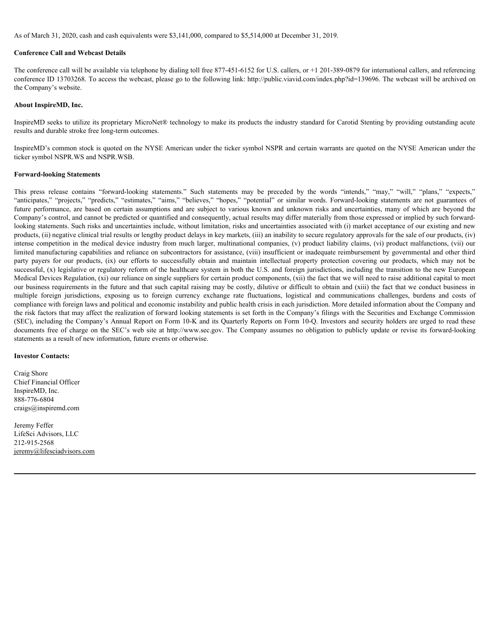As of March 31, 2020, cash and cash equivalents were \$3,141,000, compared to \$5,514,000 at December 31, 2019.

#### **Conference Call and Webcast Details**

The conference call will be available via telephone by dialing toll free 877-451-6152 for U.S. callers, or +1 201-389-0879 for international callers, and referencing conference ID 13703268. To access the webcast, please go to the following link: http://public.viavid.com/index.php?id=139696. The webcast will be archived on the Company's website.

#### **About InspireMD, Inc.**

InspireMD seeks to utilize its proprietary MicroNet® technology to make its products the industry standard for Carotid Stenting by providing outstanding acute results and durable stroke free long-term outcomes.

InspireMD's common stock is quoted on the NYSE American under the ticker symbol NSPR and certain warrants are quoted on the NYSE American under the ticker symbol NSPR.WS and NSPR.WSB.

#### **Forward-looking Statements**

As of Murch 31, 2020, cash and cash equivalents were \$3.141,000, compared to \$5.514,000 at December 31, 2019.<br> **Conference Call and Webcast Details**<br>
The conference call will be available via telephone by dialing toll fre As of March 31, 2020, cash and cash equivalents were \$3,141,000, compared to \$5,514,000 at December 31, 2019.<br>
Conference Call and Webcast Details<br>
The conference Call and Webcast Details<br>
The conference Call and Webcast As of March 31, 3020, cash and eath equivalents were \$3,141,000, compared to \$5.514,000 at December 31, 2019.<br>
Conference Call and Webcast Derails<br>
The conference call will be available via telephone by dialing oil fire 3 Company's control, and cannot be predicted or quantified and consequently, actual results may differ materially from those expressed or implied by such forwardlooking statements. Such risks and uncertainties include, without limitation, risks and uncertainties associated with (i) market acceptance of our existing and new products, (ii) negative clinical trial results or lengthy product delays in key markets, (iii) an inability to secure regulatory approvals for the sale of our products, (iv) intense competition in the medical device industry from much larger, multinational companies, (v) product liability claims, (vi) product malfunctions, (vii) our limited manufacturing capabilities and reliance on subcontractors for assistance, (viii) insufficient or inadequate reimbursement by governmental and other third As of March 31, 2020, cash and other equivalents were \$3,141,000, compared to \$5.514,000 at December 51, 2019.<br> **Conference Call and Webcast Potentials** variation is plating to the following link: http://platinc.org/12013 successful, (x) legislative or regulatory reform of the healthcare system in both the U.S. and foreign jurisdictions, including the transition to the new European Medical Devices Regulation, (xi) our reliance on single suppliers for certain product components, (xii) the fact that we will need to raise additional capital to meet our business requirements in the future and that such capital raising may be costly, dilutive or difficult to obtain and (xiii) the fact that we conduct business in As of Morek 31, 2020, coals and cask equivalents were \$5.141,000, compared to \$5.514,000 at December, 2012).<br>
One conference Call and Website Details<br>
inconference Call and Website Details<br>
inconference Call and Website i compliance with foreign laws and political and economic instability and public health crisis in each jurisdiction. More detailed information about the Company and the risk factors that may affect the realization of forward looking statements is set forth in the Company's filings with the Securities and Exchange Commission (SEC), including the Company's Annual Report on Form 10-K and its Quarterly Reports on Form 10-Q. Investors and security holders are urged to read these The conference of 10 Will be studied via telephone by dialing to 11 os 87-451 of 1.2 for 125 cdlx, or +1 20:1389-0879 for international enthreme.<br>The conference call was the website, plane go the following link, http://pa statements as a result of new information, future events or otherwise.

#### **Investor Contacts:**

Craig Shore Chief Financial Officer InspireMD, Inc. 888-776-6804 craigs@inspiremd.com

Jeremy Feffer LifeSci Advisors, LLC 212-915-2568 jeremy@lifesciadvisors.com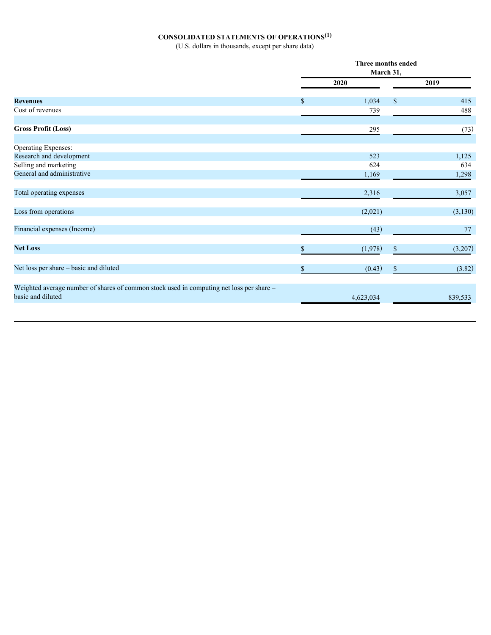#### **CONSOLIDATED STATEMENTS OF OPERATIONS(1)**

(U.S. dollars in thousands, except per share data)

|                                                                                                               | Three months ended<br>March 31, |           |              |         |
|---------------------------------------------------------------------------------------------------------------|---------------------------------|-----------|--------------|---------|
|                                                                                                               | 2020                            |           |              | 2019    |
|                                                                                                               |                                 |           |              |         |
| <b>Revenues</b>                                                                                               | <sup>\$</sup>                   | 1,034     | $\mathbb{S}$ | 415     |
| Cost of revenues                                                                                              |                                 | 739       |              | 488     |
| <b>Gross Profit (Loss)</b>                                                                                    |                                 | 295       |              | (73)    |
| Operating Expenses:                                                                                           |                                 |           |              |         |
| Research and development                                                                                      |                                 | 523       |              | 1,125   |
| Selling and marketing                                                                                         |                                 | 624       |              | 634     |
| General and administrative                                                                                    |                                 | 1,169     |              | 1,298   |
| Total operating expenses                                                                                      |                                 | 2,316     |              | 3,057   |
| Loss from operations                                                                                          |                                 | (2,021)   |              | (3,130) |
| Financial expenses (Income)                                                                                   |                                 | (43)      |              | 77      |
| <b>Net Loss</b>                                                                                               |                                 | (1,978)   | $\mathbb{S}$ | (3,207) |
| Net loss per share - basic and diluted                                                                        | <sup>\$</sup>                   | (0.43)    | \$           | (3.82)  |
| Weighted average number of shares of common stock used in computing net loss per share -<br>basic and diluted |                                 | 4,623,034 |              | 839,533 |
|                                                                                                               |                                 |           |              |         |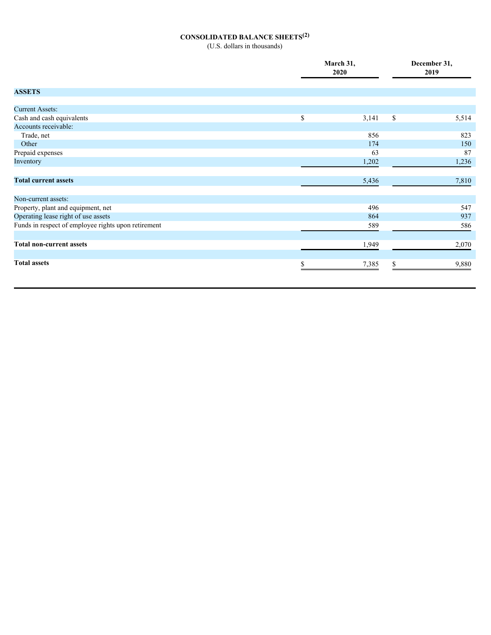## **CONSOLIDATED BALANCE SHEETS(2)**

(U.S. dollars in thousands)

|                                                     |    | March 31,<br>2020 |    | December 31,<br>2019 |
|-----------------------------------------------------|----|-------------------|----|----------------------|
| <b>ASSETS</b>                                       |    |                   |    |                      |
| <b>Current Assets:</b>                              |    |                   |    |                      |
| Cash and cash equivalents                           | \$ | 3,141             | \$ | 5,514                |
| Accounts receivable:                                |    |                   |    |                      |
| Trade, net                                          |    | 856               |    | 823                  |
| Other                                               |    | 174               |    | 150                  |
| Prepaid expenses                                    |    | 63                |    | 87                   |
| Inventory                                           |    | 1,202             |    | 1,236                |
| <b>Total current assets</b>                         |    | 5,436             |    | 7,810                |
| Non-current assets:                                 |    |                   |    |                      |
| Property, plant and equipment, net                  |    | 496               |    | 547                  |
| Operating lease right of use assets                 |    | 864               |    | 937                  |
| Funds in respect of employee rights upon retirement |    | 589               |    | 586                  |
| <b>Total non-current assets</b>                     |    | 1,949             |    | 2,070                |
|                                                     |    |                   |    |                      |
| <b>Total assets</b>                                 |    | 7,385             |    | 9,880                |
|                                                     |    |                   |    |                      |